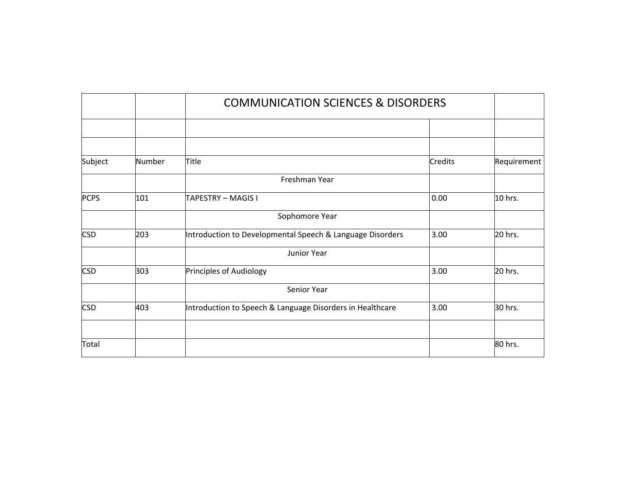|             |        | <b>COMMUNICATION SCIENCES &amp; DISORDERS</b>             |                |             |
|-------------|--------|-----------------------------------------------------------|----------------|-------------|
|             |        |                                                           |                |             |
|             |        |                                                           |                |             |
| Subject     | Number | Title                                                     | <b>Credits</b> | Requirement |
|             |        | Freshman Year                                             |                |             |
| <b>PCPS</b> | 101    | TAPESTRY – MAGIS I                                        | 0.00           | 10 hrs.     |
|             |        | Sophomore Year                                            |                |             |
| <b>CSD</b>  | 203    | Introduction to Developmental Speech & Language Disorders | 3.00           | 20 hrs.     |
|             |        | Junior Year                                               |                |             |
| <b>CSD</b>  | 303    | Principles of Audiology                                   | 3.00           | 20 hrs.     |
|             |        | Senior Year                                               |                |             |
| <b>CSD</b>  | 403    | Introduction to Speech & Language Disorders in Healthcare | 3.00           | 30 hrs.     |
|             |        |                                                           |                |             |
| Total       |        |                                                           |                | 80 hrs.     |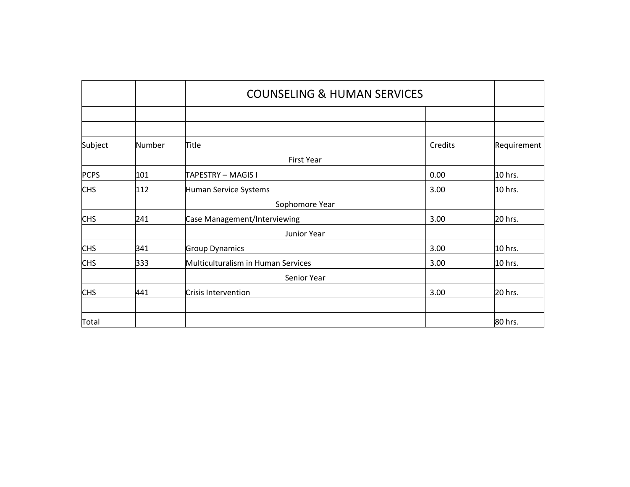|             |        | <b>COUNSELING &amp; HUMAN SERVICES</b> |         |             |
|-------------|--------|----------------------------------------|---------|-------------|
|             |        |                                        |         |             |
|             |        |                                        |         |             |
| Subject     | Number | Title                                  | Credits | Requirement |
|             |        | <b>First Year</b>                      |         |             |
| <b>PCPS</b> | 101    | TAPESTRY - MAGIS I                     | 0.00    | 10 hrs.     |
| <b>CHS</b>  | 112    | Human Service Systems                  | 3.00    | 10 hrs.     |
|             |        | Sophomore Year                         |         |             |
| <b>CHS</b>  | 241    | Case Management/Interviewing           | 3.00    | 20 hrs.     |
|             |        | Junior Year                            |         |             |
| <b>CHS</b>  | 341    | <b>Group Dynamics</b>                  | 3.00    | 10 hrs.     |
| <b>CHS</b>  | 333    | Multiculturalism in Human Services     | 3.00    | 10 hrs.     |
|             |        | Senior Year                            |         |             |
| <b>CHS</b>  | 441    | Crisis Intervention                    | 3.00    | 20 hrs.     |
|             |        |                                        |         |             |
| Total       |        |                                        |         | 80 hrs.     |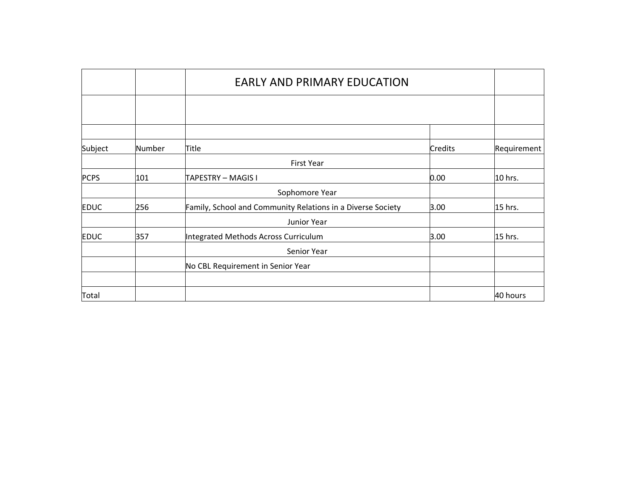|             |        | <b>EARLY AND PRIMARY EDUCATION</b>                          |                |             |
|-------------|--------|-------------------------------------------------------------|----------------|-------------|
|             |        |                                                             |                |             |
|             |        |                                                             |                |             |
| Subject     | Number | Title                                                       | <b>Credits</b> | Requirement |
|             |        | <b>First Year</b>                                           |                |             |
| <b>PCPS</b> | 101    | TAPESTRY - MAGIS I                                          | 0.00           | 10 hrs.     |
|             |        | Sophomore Year                                              |                |             |
| <b>EDUC</b> | 256    | Family, School and Community Relations in a Diverse Society | 3.00           | 15 hrs.     |
|             |        | Junior Year                                                 |                |             |
| <b>EDUC</b> | 357    | Integrated Methods Across Curriculum                        | 3.00           | 15 hrs.     |
|             |        | Senior Year                                                 |                |             |
|             |        | No CBL Requirement in Senior Year                           |                |             |
|             |        |                                                             |                |             |
| Total       |        |                                                             |                | 40 hours    |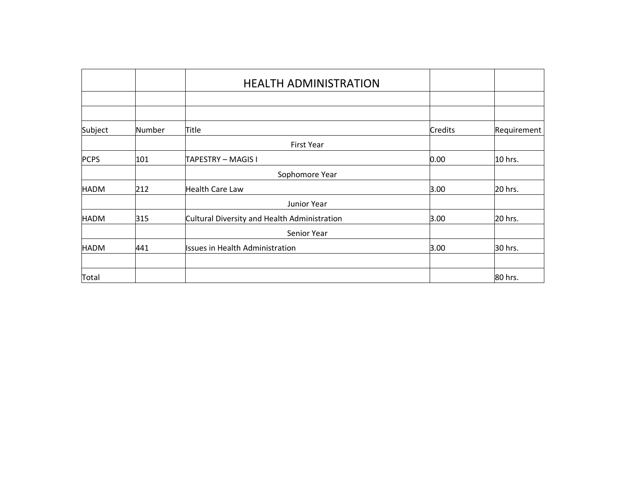|             |        | <b>HEALTH ADMINISTRATION</b>                 |                |             |
|-------------|--------|----------------------------------------------|----------------|-------------|
|             |        |                                              |                |             |
|             |        |                                              |                |             |
| Subject     | Number | Title                                        | <b>Credits</b> | Requirement |
|             |        | <b>First Year</b>                            |                |             |
| <b>PCPS</b> | 101    | TAPESTRY - MAGIS I                           | 0.00           | 10 hrs.     |
|             |        | Sophomore Year                               |                |             |
| <b>HADM</b> | 212    | <b>Health Care Law</b>                       | 3.00           | 20 hrs.     |
|             |        | Junior Year                                  |                |             |
| <b>HADM</b> | 315    | Cultural Diversity and Health Administration | 3.00           | 20 hrs.     |
|             |        | Senior Year                                  |                |             |
| <b>HADM</b> | 441    | <b>Issues in Health Administration</b>       | 3.00           | 30 hrs.     |
|             |        |                                              |                |             |
| Total       |        |                                              |                | 80 hrs.     |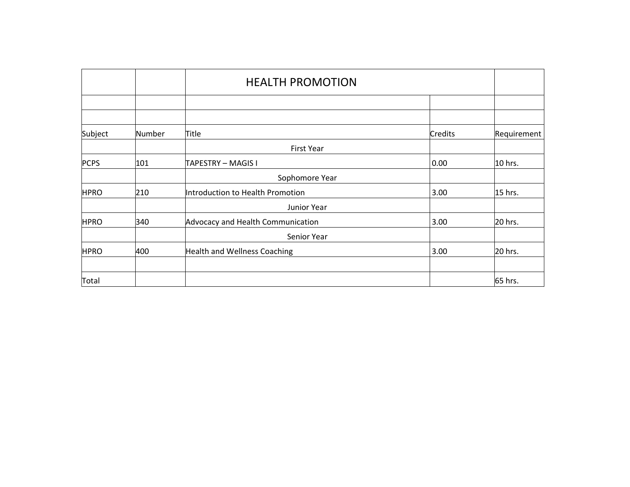|             |        | <b>HEALTH PROMOTION</b>             |         |             |
|-------------|--------|-------------------------------------|---------|-------------|
|             |        |                                     |         |             |
|             |        |                                     |         |             |
| Subject     | Number | Title                               | Credits | Requirement |
|             |        | <b>First Year</b>                   |         |             |
| <b>PCPS</b> | 101    | TAPESTRY - MAGIS I                  | 0.00    | 10 hrs.     |
|             |        | Sophomore Year                      |         |             |
| <b>HPRO</b> | 210    | Introduction to Health Promotion    | 3.00    | 15 hrs.     |
|             |        | Junior Year                         |         |             |
| <b>HPRO</b> | 340    | Advocacy and Health Communication   | 3.00    | 20 hrs.     |
|             |        | Senior Year                         |         |             |
| <b>HPRO</b> | 400    | <b>Health and Wellness Coaching</b> | 3.00    | 20 hrs.     |
|             |        |                                     |         |             |
| Total       |        |                                     |         | 65 hrs.     |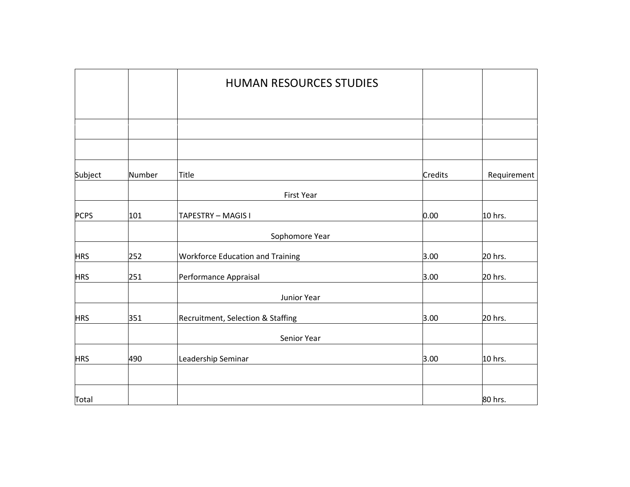|             |        | <b>HUMAN RESOURCES STUDIES</b>          |         |             |
|-------------|--------|-----------------------------------------|---------|-------------|
|             |        |                                         |         |             |
|             |        |                                         |         |             |
|             |        |                                         |         |             |
| Subject     | Number | Title                                   | Credits | Requirement |
|             |        | First Year                              |         |             |
| <b>PCPS</b> | 101    | TAPESTRY - MAGIS I                      | 0.00    | 10 hrs.     |
|             |        | Sophomore Year                          |         |             |
| <b>HRS</b>  | 252    | <b>Workforce Education and Training</b> | 3.00    | 20 hrs.     |
| <b>HRS</b>  | 251    | Performance Appraisal                   | 3.00    | 20 hrs.     |
|             |        | Junior Year                             |         |             |
| <b>HRS</b>  | 351    | Recruitment, Selection & Staffing       | 3.00    | 20 hrs.     |
|             |        | Senior Year                             |         |             |
| <b>HRS</b>  | 490    | Leadership Seminar                      | 3.00    | 10 hrs.     |
|             |        |                                         |         |             |
| Total       |        |                                         |         | 80 hrs.     |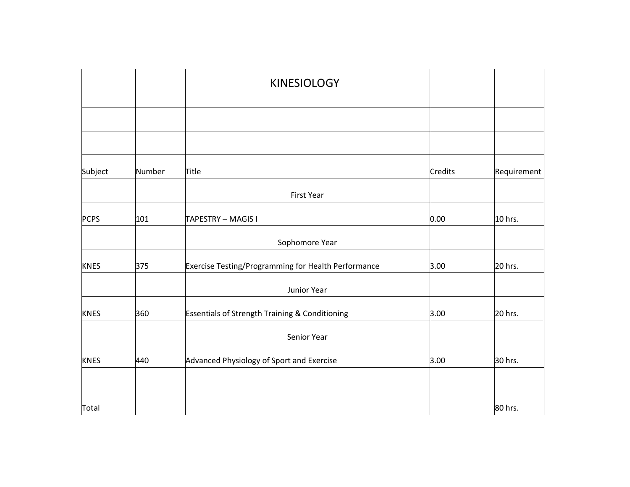|             |        | <b>KINESIOLOGY</b>                                  |         |             |
|-------------|--------|-----------------------------------------------------|---------|-------------|
|             |        |                                                     |         |             |
|             |        |                                                     |         |             |
| Subject     | Number | Title                                               | Credits | Requirement |
|             |        | First Year                                          |         |             |
| <b>PCPS</b> | 101    | TAPESTRY - MAGIS I                                  | 0.00    | 10 hrs.     |
|             |        | Sophomore Year                                      |         |             |
| <b>KNES</b> | 375    | Exercise Testing/Programming for Health Performance | 3.00    | 20 hrs.     |
|             |        | Junior Year                                         |         |             |
| <b>KNES</b> | 360    | Essentials of Strength Training & Conditioning      | 3.00    | 20 hrs.     |
|             |        | Senior Year                                         |         |             |
| <b>KNES</b> | 440    | Advanced Physiology of Sport and Exercise           | 3.00    | 30 hrs.     |
|             |        |                                                     |         |             |
| Total       |        |                                                     |         | 80 hrs.     |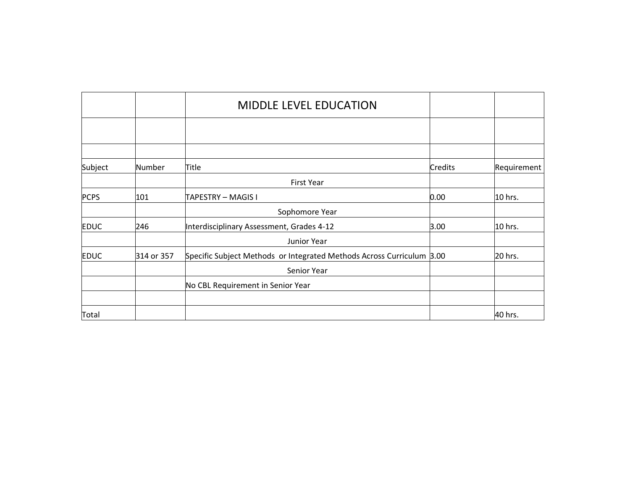|             |            | <b>MIDDLE LEVEL EDUCATION</b>                                         |         |             |
|-------------|------------|-----------------------------------------------------------------------|---------|-------------|
|             |            |                                                                       |         |             |
|             |            |                                                                       |         |             |
| Subject     | Number     | Title                                                                 | Credits | Requirement |
|             |            | <b>First Year</b>                                                     |         |             |
| <b>PCPS</b> | 101        | TAPESTRY – MAGIS I                                                    | 0.00    | 10 hrs.     |
|             |            | Sophomore Year                                                        |         |             |
| <b>EDUC</b> | 246        | Interdisciplinary Assessment, Grades 4-12                             | 3.00    | 10 hrs.     |
|             |            | Junior Year                                                           |         |             |
| <b>EDUC</b> | 314 or 357 | Specific Subject Methods or Integrated Methods Across Curriculum 3.00 |         | 20 hrs.     |
|             |            | Senior Year                                                           |         |             |
|             |            | No CBL Requirement in Senior Year                                     |         |             |
|             |            |                                                                       |         |             |
| Total       |            |                                                                       |         | 40 hrs.     |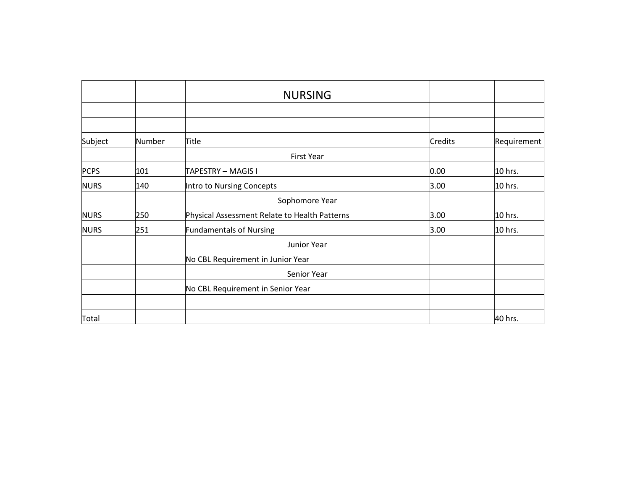|             |        | <b>NURSING</b>                                |                |             |
|-------------|--------|-----------------------------------------------|----------------|-------------|
|             |        |                                               |                |             |
| Subject     | Number | Title                                         | <b>Credits</b> | Requirement |
|             |        | <b>First Year</b>                             |                |             |
| <b>PCPS</b> | 101    | TAPESTRY - MAGIS I                            | 0.00           | 10 hrs.     |
| <b>NURS</b> | 140    | Intro to Nursing Concepts                     | 3.00           | 10 hrs.     |
|             |        | Sophomore Year                                |                |             |
| <b>NURS</b> | 250    | Physical Assessment Relate to Health Patterns | 3.00           | 10 hrs.     |
| <b>NURS</b> | 251    | <b>Fundamentals of Nursing</b>                | 3.00           | 10 hrs.     |
|             |        | Junior Year                                   |                |             |
|             |        | No CBL Requirement in Junior Year             |                |             |
|             |        | Senior Year                                   |                |             |
|             |        | No CBL Requirement in Senior Year             |                |             |
|             |        |                                               |                |             |
| Total       |        |                                               |                | 40 hrs.     |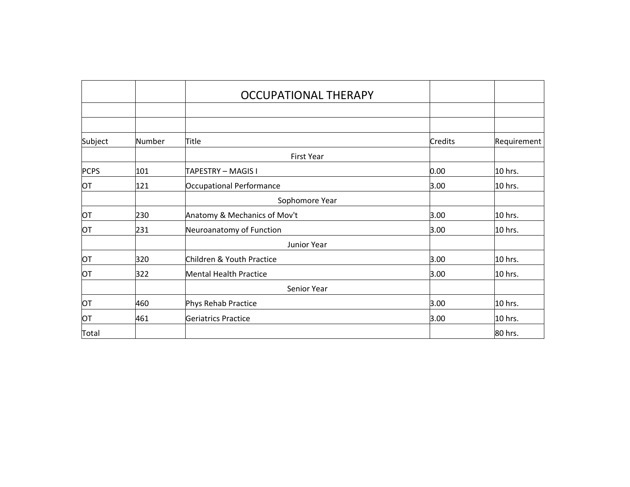|             |        | <b>OCCUPATIONAL THERAPY</b>   |                |             |
|-------------|--------|-------------------------------|----------------|-------------|
|             |        |                               |                |             |
|             |        |                               |                |             |
| Subject     | Number | Title                         | <b>Credits</b> | Requirement |
|             |        | <b>First Year</b>             |                |             |
| <b>PCPS</b> | 101    | TAPESTRY – MAGIS I            | 0.00           | 10 hrs.     |
| <b>OT</b>   | 121    | Occupational Performance      | 3.00           | 10 hrs.     |
|             |        | Sophomore Year                |                |             |
| ЮT          | 230    | Anatomy & Mechanics of Mov't  | 3.00           | 10 hrs.     |
| ЮT          | 231    | Neuroanatomy of Function      | 3.00           | 10 hrs.     |
|             |        | Junior Year                   |                |             |
| OT          | 320    | Children & Youth Practice     | 3.00           | 10 hrs.     |
| <b>OT</b>   | 322    | <b>Mental Health Practice</b> | 3.00           | 10 hrs.     |
|             |        | Senior Year                   |                |             |
| <b>OT</b>   | 460    | Phys Rehab Practice           | 3.00           | 10 hrs.     |
| ЮT          | 461    | Geriatrics Practice           | 3.00           | 10 hrs.     |
| Total       |        |                               |                | 80 hrs.     |